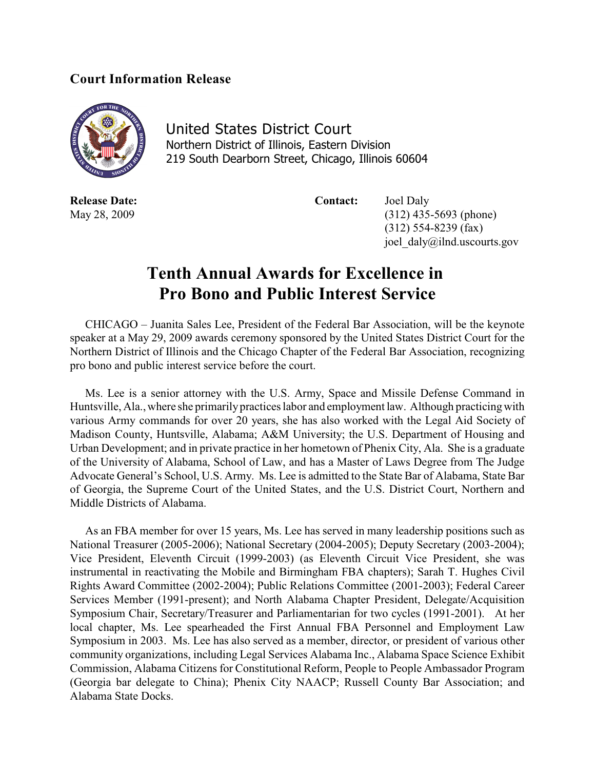## **Court Information Release**



United States District Court Northern District of Illinois, Eastern Division 219 South Dearborn Street, Chicago, Illinois 60604

**Release Date: Contact:** Joel Daly

May 28, 2009 (312) 435-5693 (phone) (312) 554-8239 (fax) joel\_daly@ilnd.uscourts.gov

## **Tenth Annual Awards for Excellence in Pro Bono and Public Interest Service**

CHICAGO – Juanita Sales Lee, President of the Federal Bar Association, will be the keynote speaker at a May 29, 2009 awards ceremony sponsored by the United States District Court for the Northern District of Illinois and the Chicago Chapter of the Federal Bar Association, recognizing pro bono and public interest service before the court.

Ms. Lee is a senior attorney with the U.S. Army, Space and Missile Defense Command in Huntsville, Ala., where she primarily practices labor and employment law. Although practicing with various Army commands for over 20 years, she has also worked with the Legal Aid Society of Madison County, Huntsville, Alabama; A&M University; the U.S. Department of Housing and Urban Development; and in private practice in her hometown of Phenix City, Ala. She is a graduate of the University of Alabama, School of Law, and has a Master of Laws Degree from The Judge Advocate General's School, U.S. Army. Ms. Lee is admitted to the State Bar of Alabama, State Bar of Georgia, the Supreme Court of the United States, and the U.S. District Court, Northern and Middle Districts of Alabama.

As an FBA member for over 15 years, Ms. Lee has served in many leadership positions such as National Treasurer (2005-2006); National Secretary (2004-2005); Deputy Secretary (2003-2004); Vice President, Eleventh Circuit (1999-2003) (as Eleventh Circuit Vice President, she was instrumental in reactivating the Mobile and Birmingham FBA chapters); Sarah T. Hughes Civil Rights Award Committee (2002-2004); Public Relations Committee (2001-2003); Federal Career Services Member (1991-present); and North Alabama Chapter President, Delegate/Acquisition Symposium Chair, Secretary/Treasurer and Parliamentarian for two cycles (1991-2001). At her local chapter, Ms. Lee spearheaded the First Annual FBA Personnel and Employment Law Symposium in 2003. Ms. Lee has also served as a member, director, or president of various other community organizations, including Legal Services Alabama Inc., Alabama Space Science Exhibit Commission, Alabama Citizens for Constitutional Reform, People to People Ambassador Program (Georgia bar delegate to China); Phenix City NAACP; Russell County Bar Association; and Alabama State Docks.